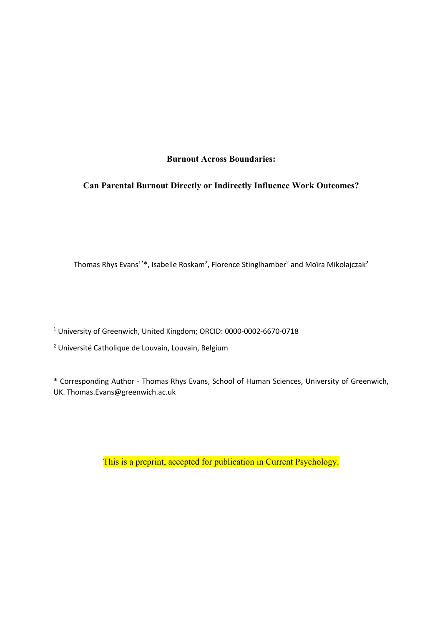# **Burnout Across Boundaries:**

# **Can Parental Burnout Directly or Indirectly Influence Work Outcomes?**

Thomas Rhys Evans<sup>1\*</sup>\*, Isabelle Roskam<sup>2</sup>, Florence Stinglhamber<sup>2</sup> and Moïra Mikolajczak<sup>2</sup>

<sup>1</sup> University of Greenwich, United Kingdom; ORCID: 0000-0002-6670-0718

<sup>2</sup> Université Catholique de Louvain, Louvain, Belgium

\* Corresponding Author - Thomas Rhys Evans, School of Human Sciences, University of Greenwich, UK. Thomas.Evans@greenwich.ac.uk

This is a preprint, accepted for publication in Current Psychology.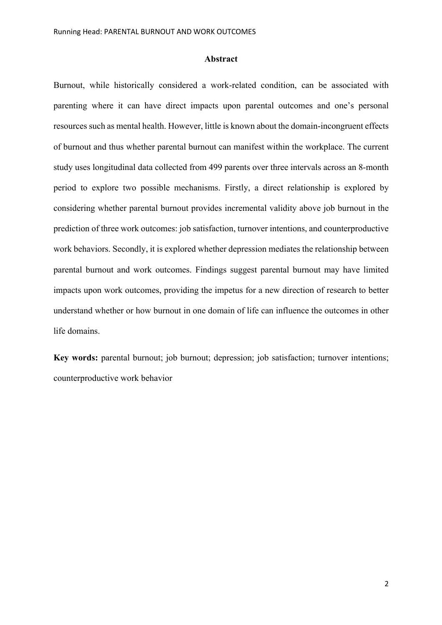#### **Abstract**

Burnout, while historically considered a work-related condition, can be associated with parenting where it can have direct impacts upon parental outcomes and one's personal resources such as mental health. However, little is known about the domain-incongruent effects of burnout and thus whether parental burnout can manifest within the workplace. The current study uses longitudinal data collected from 499 parents over three intervals across an 8-month period to explore two possible mechanisms. Firstly, a direct relationship is explored by considering whether parental burnout provides incremental validity above job burnout in the prediction of three work outcomes: job satisfaction, turnover intentions, and counterproductive work behaviors. Secondly, it is explored whether depression mediates the relationship between parental burnout and work outcomes. Findings suggest parental burnout may have limited impacts upon work outcomes, providing the impetus for a new direction of research to better understand whether or how burnout in one domain of life can influence the outcomes in other life domains.

**Key words:** parental burnout; job burnout; depression; job satisfaction; turnover intentions; counterproductive work behavior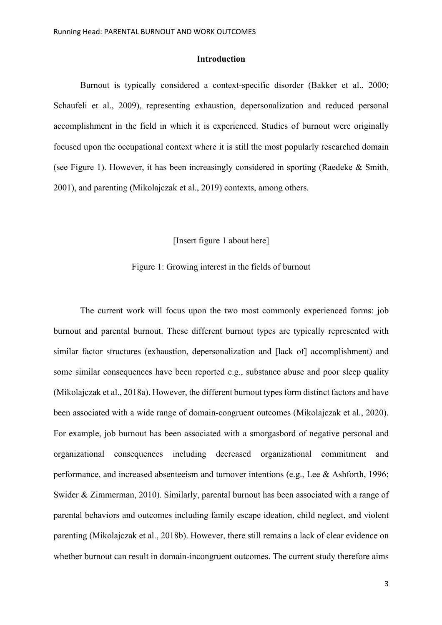### **Introduction**

Burnout is typically considered a context-specific disorder (Bakker et al., 2000; Schaufeli et al., 2009), representing exhaustion, depersonalization and reduced personal accomplishment in the field in which it is experienced. Studies of burnout were originally focused upon the occupational context where it is still the most popularly researched domain (see Figure 1). However, it has been increasingly considered in sporting (Raedeke & Smith, 2001), and parenting (Mikolajczak et al., 2019) contexts, among others.

[Insert figure 1 about here]

## Figure 1: Growing interest in the fields of burnout

The current work will focus upon the two most commonly experienced forms: job burnout and parental burnout. These different burnout types are typically represented with similar factor structures (exhaustion, depersonalization and [lack of] accomplishment) and some similar consequences have been reported e.g., substance abuse and poor sleep quality (Mikolajczak et al., 2018a). However, the different burnout types form distinct factors and have been associated with a wide range of domain-congruent outcomes (Mikolajczak et al., 2020). For example, job burnout has been associated with a smorgasbord of negative personal and organizational consequences including decreased organizational commitment and performance, and increased absenteeism and turnover intentions (e.g., Lee & Ashforth, 1996; Swider & Zimmerman, 2010). Similarly, parental burnout has been associated with a range of parental behaviors and outcomes including family escape ideation, child neglect, and violent parenting (Mikolajczak et al., 2018b). However, there still remains a lack of clear evidence on whether burnout can result in domain-incongruent outcomes. The current study therefore aims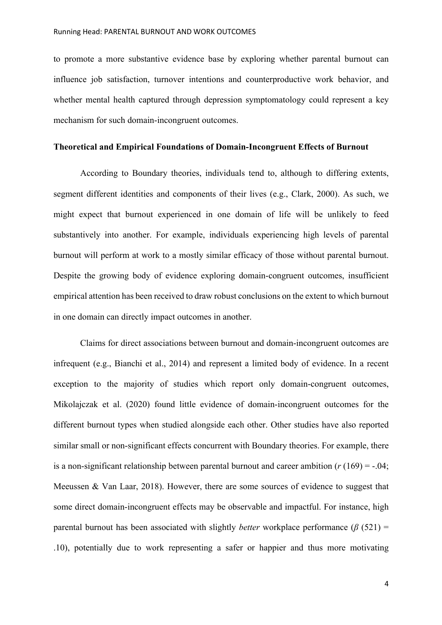to promote a more substantive evidence base by exploring whether parental burnout can influence job satisfaction, turnover intentions and counterproductive work behavior, and whether mental health captured through depression symptomatology could represent a key mechanism for such domain-incongruent outcomes.

## **Theoretical and Empirical Foundations of Domain-Incongruent Effects of Burnout**

According to Boundary theories, individuals tend to, although to differing extents, segment different identities and components of their lives (e.g., Clark, 2000). As such, we might expect that burnout experienced in one domain of life will be unlikely to feed substantively into another. For example, individuals experiencing high levels of parental burnout will perform at work to a mostly similar efficacy of those without parental burnout. Despite the growing body of evidence exploring domain-congruent outcomes, insufficient empirical attention has been received to draw robust conclusions on the extent to which burnout in one domain can directly impact outcomes in another.

Claims for direct associations between burnout and domain-incongruent outcomes are infrequent (e.g., Bianchi et al., 2014) and represent a limited body of evidence. In a recent exception to the majority of studies which report only domain-congruent outcomes, Mikolajczak et al. (2020) found little evidence of domain-incongruent outcomes for the different burnout types when studied alongside each other. Other studies have also reported similar small or non-significant effects concurrent with Boundary theories. For example, there is a non-significant relationship between parental burnout and career ambition  $(r (169) = -.04;$ Meeussen & Van Laar, 2018). However, there are some sources of evidence to suggest that some direct domain-incongruent effects may be observable and impactful. For instance, high parental burnout has been associated with slightly *better* workplace performance ( $\beta$  (521) = .10), potentially due to work representing a safer or happier and thus more motivating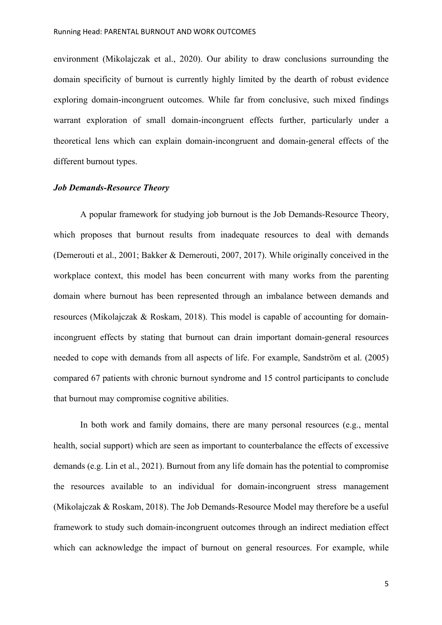environment (Mikolajczak et al., 2020). Our ability to draw conclusions surrounding the domain specificity of burnout is currently highly limited by the dearth of robust evidence exploring domain-incongruent outcomes. While far from conclusive, such mixed findings warrant exploration of small domain-incongruent effects further, particularly under a theoretical lens which can explain domain-incongruent and domain-general effects of the different burnout types.

## *Job Demands-Resource Theory*

A popular framework for studying job burnout is the Job Demands-Resource Theory, which proposes that burnout results from inadequate resources to deal with demands (Demerouti et al., 2001; Bakker & Demerouti, 2007, 2017). While originally conceived in the workplace context, this model has been concurrent with many works from the parenting domain where burnout has been represented through an imbalance between demands and resources (Mikolajczak & Roskam, 2018). This model is capable of accounting for domainincongruent effects by stating that burnout can drain important domain-general resources needed to cope with demands from all aspects of life. For example, Sandström et al. (2005) compared 67 patients with chronic burnout syndrome and 15 control participants to conclude that burnout may compromise cognitive abilities.

In both work and family domains, there are many personal resources (e.g., mental health, social support) which are seen as important to counterbalance the effects of excessive demands (e.g. Lin et al., 2021). Burnout from any life domain has the potential to compromise the resources available to an individual for domain-incongruent stress management (Mikolajczak & Roskam, 2018). The Job Demands-Resource Model may therefore be a useful framework to study such domain-incongruent outcomes through an indirect mediation effect which can acknowledge the impact of burnout on general resources. For example, while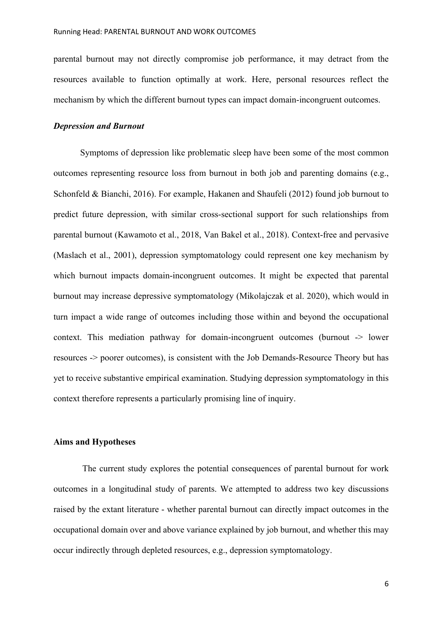parental burnout may not directly compromise job performance, it may detract from the resources available to function optimally at work. Here, personal resources reflect the mechanism by which the different burnout types can impact domain-incongruent outcomes.

## *Depression and Burnout*

Symptoms of depression like problematic sleep have been some of the most common outcomes representing resource loss from burnout in both job and parenting domains (e.g., Schonfeld & Bianchi, 2016). For example, Hakanen and Shaufeli (2012) found job burnout to predict future depression, with similar cross-sectional support for such relationships from parental burnout (Kawamoto et al., 2018, Van Bakel et al., 2018). Context-free and pervasive (Maslach et al., 2001), depression symptomatology could represent one key mechanism by which burnout impacts domain-incongruent outcomes. It might be expected that parental burnout may increase depressive symptomatology (Mikolajczak et al. 2020), which would in turn impact a wide range of outcomes including those within and beyond the occupational context. This mediation pathway for domain-incongruent outcomes (burnout -> lower resources -> poorer outcomes), is consistent with the Job Demands-Resource Theory but has yet to receive substantive empirical examination. Studying depression symptomatology in this context therefore represents a particularly promising line of inquiry.

### **Aims and Hypotheses**

The current study explores the potential consequences of parental burnout for work outcomes in a longitudinal study of parents. We attempted to address two key discussions raised by the extant literature - whether parental burnout can directly impact outcomes in the occupational domain over and above variance explained by job burnout, and whether this may occur indirectly through depleted resources, e.g., depression symptomatology.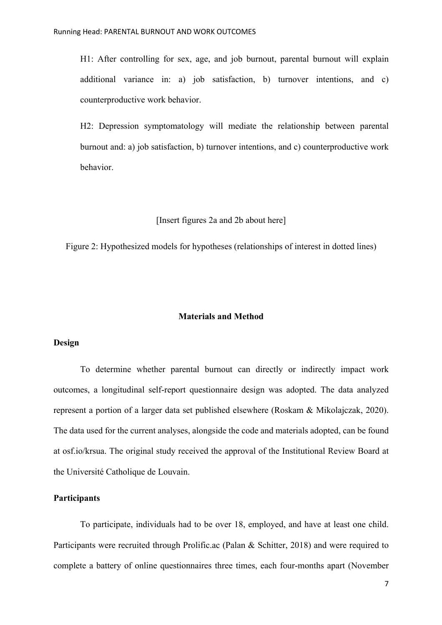H1: After controlling for sex, age, and job burnout, parental burnout will explain additional variance in: a) job satisfaction, b) turnover intentions, and c) counterproductive work behavior.

H2: Depression symptomatology will mediate the relationship between parental burnout and: a) job satisfaction, b) turnover intentions, and c) counterproductive work behavior.

#### [Insert figures 2a and 2b about here]

Figure 2: Hypothesized models for hypotheses (relationships of interest in dotted lines)

## **Materials and Method**

## **Design**

To determine whether parental burnout can directly or indirectly impact work outcomes, a longitudinal self-report questionnaire design was adopted. The data analyzed represent a portion of a larger data set published elsewhere (Roskam & Mikolajczak, 2020). The data used for the current analyses, alongside the code and materials adopted, can be found at osf.io/krsua. The original study received the approval of the Institutional Review Board at the Université Catholique de Louvain.

## **Participants**

To participate, individuals had to be over 18, employed, and have at least one child. Participants were recruited through Prolific.ac (Palan & Schitter, 2018) and were required to complete a battery of online questionnaires three times, each four-months apart (November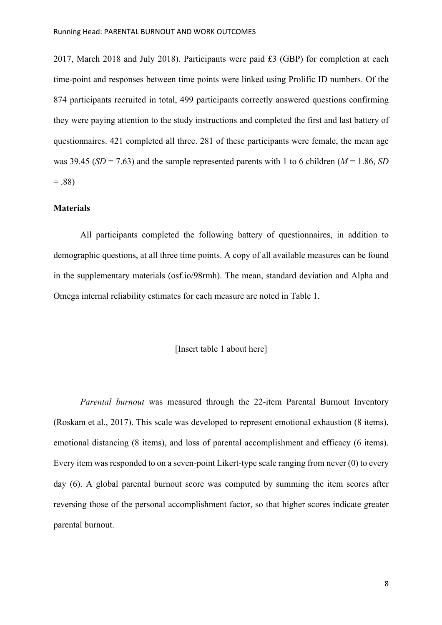2017, March 2018 and July 2018). Participants were paid £3 (GBP) for completion at each time-point and responses between time points were linked using Prolific ID numbers. Of the 874 participants recruited in total, 499 participants correctly answered questions confirming they were paying attention to the study instructions and completed the first and last battery of questionnaires. 421 completed all three. 281 of these participants were female, the mean age was 39.45 ( $SD = 7.63$ ) and the sample represented parents with 1 to 6 children ( $M = 1.86$ ,  $SD$ )  $=.88$ 

## **Materials**

All participants completed the following battery of questionnaires, in addition to demographic questions, at all three time points. A copy of all available measures can be found in the supplementary materials (osf.io/98rmh). The mean, standard deviation and Alpha and Omega internal reliability estimates for each measure are noted in Table 1.

#### [Insert table 1 about here]

*Parental burnout* was measured through the 22-item Parental Burnout Inventory (Roskam et al., 2017). This scale was developed to represent emotional exhaustion (8 items), emotional distancing (8 items), and loss of parental accomplishment and efficacy (6 items). Every item was responded to on a seven-point Likert-type scale ranging from never (0) to every day (6). A global parental burnout score was computed by summing the item scores after reversing those of the personal accomplishment factor, so that higher scores indicate greater parental burnout.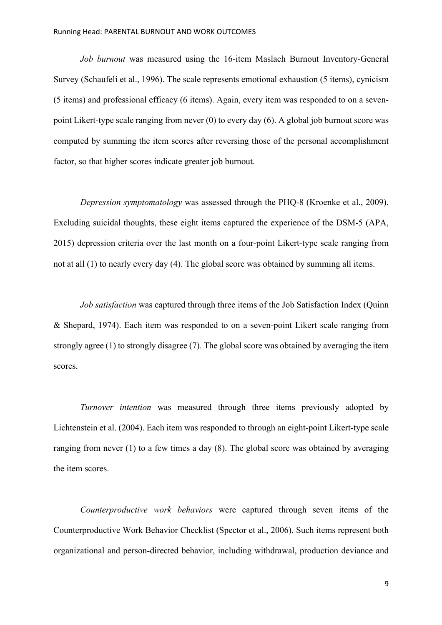*Job burnout* was measured using the 16-item Maslach Burnout Inventory-General Survey (Schaufeli et al., 1996). The scale represents emotional exhaustion (5 items), cynicism (5 items) and professional efficacy (6 items). Again, every item was responded to on a sevenpoint Likert-type scale ranging from never (0) to every day (6). A global job burnout score was computed by summing the item scores after reversing those of the personal accomplishment factor, so that higher scores indicate greater job burnout.

*Depression symptomatology* was assessed through the PHQ-8 (Kroenke et al., 2009). Excluding suicidal thoughts, these eight items captured the experience of the DSM-5 (APA, 2015) depression criteria over the last month on a four-point Likert-type scale ranging from not at all (1) to nearly every day (4). The global score was obtained by summing all items.

*Job satisfaction* was captured through three items of the Job Satisfaction Index (Quinn & Shepard, 1974). Each item was responded to on a seven-point Likert scale ranging from strongly agree (1) to strongly disagree (7). The global score was obtained by averaging the item scores.

*Turnover intention* was measured through three items previously adopted by Lichtenstein et al. (2004). Each item was responded to through an eight-point Likert-type scale ranging from never (1) to a few times a day (8). The global score was obtained by averaging the item scores.

*Counterproductive work behaviors* were captured through seven items of the Counterproductive Work Behavior Checklist (Spector et al., 2006). Such items represent both organizational and person-directed behavior, including withdrawal, production deviance and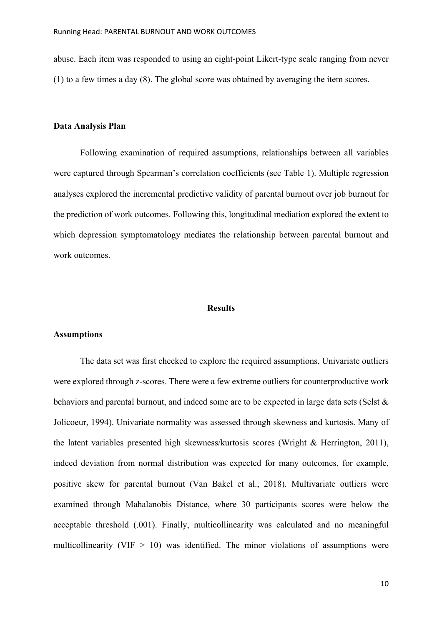abuse. Each item was responded to using an eight-point Likert-type scale ranging from never (1) to a few times a day (8). The global score was obtained by averaging the item scores.

# **Data Analysis Plan**

Following examination of required assumptions, relationships between all variables were captured through Spearman's correlation coefficients (see Table 1). Multiple regression analyses explored the incremental predictive validity of parental burnout over job burnout for the prediction of work outcomes. Following this, longitudinal mediation explored the extent to which depression symptomatology mediates the relationship between parental burnout and work outcomes.

#### **Results**

#### **Assumptions**

The data set was first checked to explore the required assumptions. Univariate outliers were explored through z-scores. There were a few extreme outliers for counterproductive work behaviors and parental burnout, and indeed some are to be expected in large data sets (Selst & Jolicoeur, 1994). Univariate normality was assessed through skewness and kurtosis. Many of the latent variables presented high skewness/kurtosis scores (Wright & Herrington, 2011), indeed deviation from normal distribution was expected for many outcomes, for example, positive skew for parental burnout (Van Bakel et al., 2018). Multivariate outliers were examined through Mahalanobis Distance, where 30 participants scores were below the acceptable threshold (.001). Finally, multicollinearity was calculated and no meaningful multicollinearity (VIF  $> 10$ ) was identified. The minor violations of assumptions were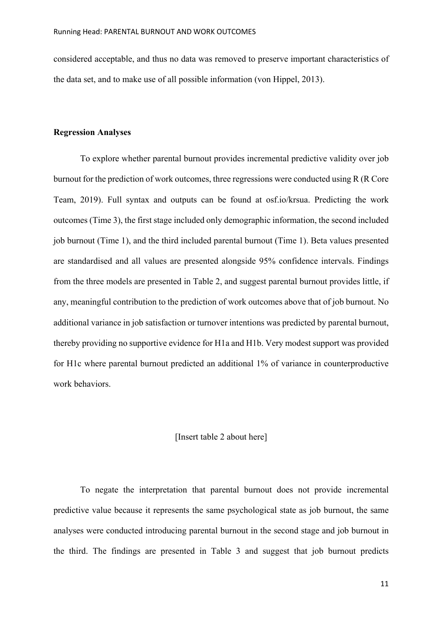considered acceptable, and thus no data was removed to preserve important characteristics of the data set, and to make use of all possible information (von Hippel, 2013).

## **Regression Analyses**

To explore whether parental burnout provides incremental predictive validity over job burnout for the prediction of work outcomes, three regressions were conducted using R (R Core Team, 2019). Full syntax and outputs can be found at osf.io/krsua. Predicting the work outcomes (Time 3), the first stage included only demographic information, the second included job burnout (Time 1), and the third included parental burnout (Time 1). Beta values presented are standardised and all values are presented alongside 95% confidence intervals. Findings from the three models are presented in Table 2, and suggest parental burnout provides little, if any, meaningful contribution to the prediction of work outcomes above that of job burnout. No additional variance in job satisfaction or turnover intentions was predicted by parental burnout, thereby providing no supportive evidence for H1a and H1b. Very modest support was provided for H1c where parental burnout predicted an additional 1% of variance in counterproductive work behaviors.

#### [Insert table 2 about here]

To negate the interpretation that parental burnout does not provide incremental predictive value because it represents the same psychological state as job burnout, the same analyses were conducted introducing parental burnout in the second stage and job burnout in the third. The findings are presented in Table 3 and suggest that job burnout predicts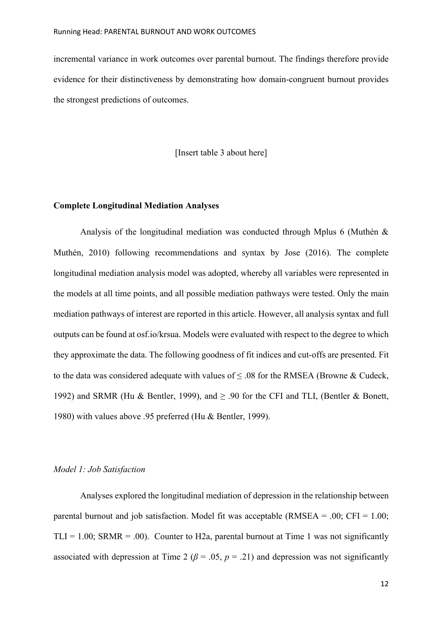incremental variance in work outcomes over parental burnout. The findings therefore provide evidence for their distinctiveness by demonstrating how domain-congruent burnout provides the strongest predictions of outcomes.

[Insert table 3 about here]

## **Complete Longitudinal Mediation Analyses**

Analysis of the longitudinal mediation was conducted through Mplus 6 (Muthén & Muthén, 2010) following recommendations and syntax by Jose (2016). The complete longitudinal mediation analysis model was adopted, whereby all variables were represented in the models at all time points, and all possible mediation pathways were tested. Only the main mediation pathways of interest are reported in this article. However, all analysis syntax and full outputs can be found at osf.io/krsua. Models were evaluated with respect to the degree to which they approximate the data. The following goodness of fit indices and cut-offs are presented. Fit to the data was considered adequate with values of  $\leq$  0.08 for the RMSEA (Browne & Cudeck, 1992) and SRMR (Hu & Bentler, 1999), and  $\geq$  .90 for the CFI and TLI, (Bentler & Bonett, 1980) with values above .95 preferred (Hu & Bentler, 1999).

## *Model 1: Job Satisfaction*

Analyses explored the longitudinal mediation of depression in the relationship between parental burnout and job satisfaction. Model fit was acceptable (RMSEA =  $.00$ ; CFI =  $1.00$ ; TLI = 1.00; SRMR = .00). Counter to H2a, parental burnout at Time 1 was not significantly associated with depression at Time 2 ( $\beta$  = .05,  $p$  = .21) and depression was not significantly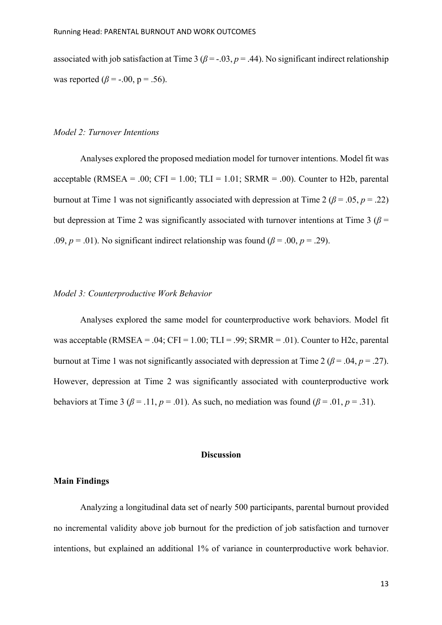associated with job satisfaction at Time 3 ( $\beta$  = -.03,  $p$  = .44). No significant indirect relationship was reported  $(\beta = -0.00, p = 0.56)$ .

## *Model 2: Turnover Intentions*

Analyses explored the proposed mediation model for turnover intentions. Model fit was acceptable (RMSEA = .00; CFI = 1.00; TLI = 1.01; SRMR = .00). Counter to H2b, parental burnout at Time 1 was not significantly associated with depression at Time 2 ( $\beta$  = .05, *p* = .22) but depression at Time 2 was significantly associated with turnover intentions at Time 3 ( $\beta$  = .09,  $p = .01$ ). No significant indirect relationship was found ( $\beta = .00$ ,  $p = .29$ ).

### *Model 3: Counterproductive Work Behavior*

Analyses explored the same model for counterproductive work behaviors. Model fit was acceptable (RMSEA = .04; CFI = 1.00; TLI = .99; SRMR = .01). Counter to H2c, parental burnout at Time 1 was not significantly associated with depression at Time 2 ( $\beta$  = .04,  $p$  = .27). However, depression at Time 2 was significantly associated with counterproductive work behaviors at Time 3 ( $\beta$  = .11,  $p$  = .01). As such, no mediation was found ( $\beta$  = .01,  $p$  = .31).

## **Discussion**

#### **Main Findings**

Analyzing a longitudinal data set of nearly 500 participants, parental burnout provided no incremental validity above job burnout for the prediction of job satisfaction and turnover intentions, but explained an additional 1% of variance in counterproductive work behavior.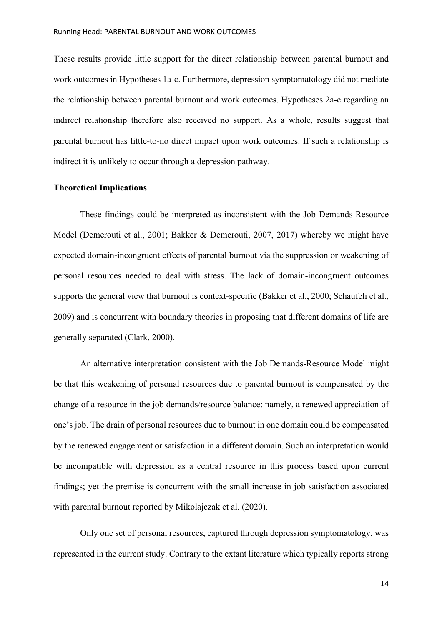These results provide little support for the direct relationship between parental burnout and work outcomes in Hypotheses 1a-c. Furthermore, depression symptomatology did not mediate the relationship between parental burnout and work outcomes. Hypotheses 2a-c regarding an indirect relationship therefore also received no support. As a whole, results suggest that parental burnout has little-to-no direct impact upon work outcomes. If such a relationship is indirect it is unlikely to occur through a depression pathway.

### **Theoretical Implications**

These findings could be interpreted as inconsistent with the Job Demands-Resource Model (Demerouti et al., 2001; Bakker & Demerouti, 2007, 2017) whereby we might have expected domain-incongruent effects of parental burnout via the suppression or weakening of personal resources needed to deal with stress. The lack of domain-incongruent outcomes supports the general view that burnout is context-specific (Bakker et al., 2000; Schaufeli et al., 2009) and is concurrent with boundary theories in proposing that different domains of life are generally separated (Clark, 2000).

An alternative interpretation consistent with the Job Demands-Resource Model might be that this weakening of personal resources due to parental burnout is compensated by the change of a resource in the job demands/resource balance: namely, a renewed appreciation of one's job. The drain of personal resources due to burnout in one domain could be compensated by the renewed engagement or satisfaction in a different domain. Such an interpretation would be incompatible with depression as a central resource in this process based upon current findings; yet the premise is concurrent with the small increase in job satisfaction associated with parental burnout reported by Mikolajczak et al. (2020).

Only one set of personal resources, captured through depression symptomatology, was represented in the current study. Contrary to the extant literature which typically reports strong

14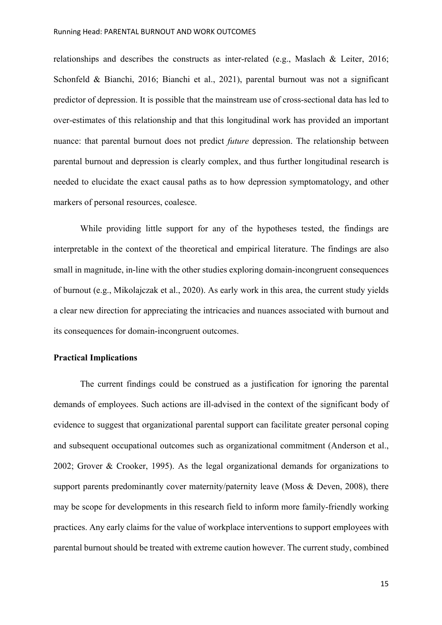relationships and describes the constructs as inter-related (e.g., Maslach & Leiter, 2016; Schonfeld & Bianchi, 2016; Bianchi et al., 2021), parental burnout was not a significant predictor of depression. It is possible that the mainstream use of cross-sectional data has led to over-estimates of this relationship and that this longitudinal work has provided an important nuance: that parental burnout does not predict *future* depression. The relationship between parental burnout and depression is clearly complex, and thus further longitudinal research is needed to elucidate the exact causal paths as to how depression symptomatology, and other markers of personal resources, coalesce.

While providing little support for any of the hypotheses tested, the findings are interpretable in the context of the theoretical and empirical literature. The findings are also small in magnitude, in-line with the other studies exploring domain-incongruent consequences of burnout (e.g., Mikolajczak et al., 2020). As early work in this area, the current study yields a clear new direction for appreciating the intricacies and nuances associated with burnout and its consequences for domain-incongruent outcomes.

# **Practical Implications**

The current findings could be construed as a justification for ignoring the parental demands of employees. Such actions are ill-advised in the context of the significant body of evidence to suggest that organizational parental support can facilitate greater personal coping and subsequent occupational outcomes such as organizational commitment (Anderson et al., 2002; Grover & Crooker, 1995). As the legal organizational demands for organizations to support parents predominantly cover maternity/paternity leave (Moss & Deven, 2008), there may be scope for developments in this research field to inform more family-friendly working practices. Any early claims for the value of workplace interventions to support employees with parental burnout should be treated with extreme caution however. The current study, combined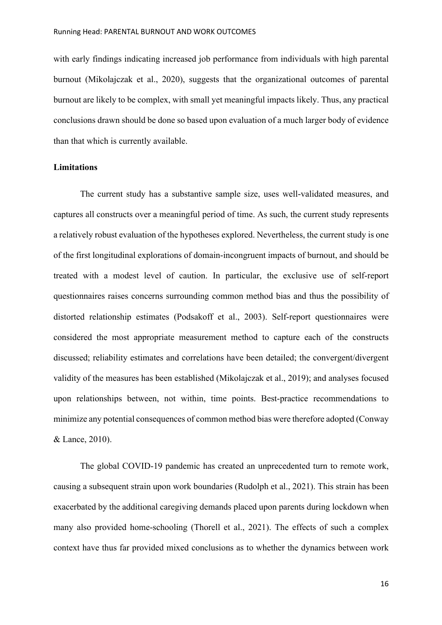with early findings indicating increased job performance from individuals with high parental burnout (Mikolajczak et al., 2020), suggests that the organizational outcomes of parental burnout are likely to be complex, with small yet meaningful impacts likely. Thus, any practical conclusions drawn should be done so based upon evaluation of a much larger body of evidence than that which is currently available.

## **Limitations**

The current study has a substantive sample size, uses well-validated measures, and captures all constructs over a meaningful period of time. As such, the current study represents a relatively robust evaluation of the hypotheses explored. Nevertheless, the current study is one of the first longitudinal explorations of domain-incongruent impacts of burnout, and should be treated with a modest level of caution. In particular, the exclusive use of self-report questionnaires raises concerns surrounding common method bias and thus the possibility of distorted relationship estimates (Podsakoff et al., 2003). Self-report questionnaires were considered the most appropriate measurement method to capture each of the constructs discussed; reliability estimates and correlations have been detailed; the convergent/divergent validity of the measures has been established (Mikolajczak et al., 2019); and analyses focused upon relationships between, not within, time points. Best-practice recommendations to minimize any potential consequences of common method bias were therefore adopted (Conway & Lance, 2010).

The global COVID-19 pandemic has created an unprecedented turn to remote work, causing a subsequent strain upon work boundaries (Rudolph et al., 2021). This strain has been exacerbated by the additional caregiving demands placed upon parents during lockdown when many also provided home-schooling (Thorell et al., 2021). The effects of such a complex context have thus far provided mixed conclusions as to whether the dynamics between work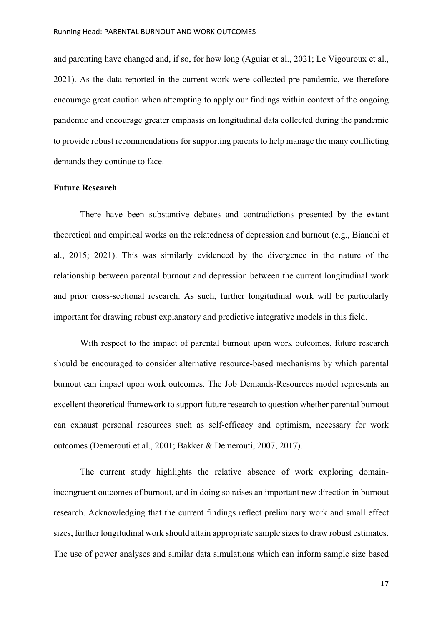and parenting have changed and, if so, for how long (Aguiar et al., 2021; Le Vigouroux et al., 2021). As the data reported in the current work were collected pre-pandemic, we therefore encourage great caution when attempting to apply our findings within context of the ongoing pandemic and encourage greater emphasis on longitudinal data collected during the pandemic to provide robust recommendations for supporting parents to help manage the many conflicting demands they continue to face.

### **Future Research**

There have been substantive debates and contradictions presented by the extant theoretical and empirical works on the relatedness of depression and burnout (e.g., Bianchi et al., 2015; 2021). This was similarly evidenced by the divergence in the nature of the relationship between parental burnout and depression between the current longitudinal work and prior cross-sectional research. As such, further longitudinal work will be particularly important for drawing robust explanatory and predictive integrative models in this field.

With respect to the impact of parental burnout upon work outcomes, future research should be encouraged to consider alternative resource-based mechanisms by which parental burnout can impact upon work outcomes. The Job Demands-Resources model represents an excellent theoretical framework to support future research to question whether parental burnout can exhaust personal resources such as self-efficacy and optimism, necessary for work outcomes (Demerouti et al., 2001; Bakker & Demerouti, 2007, 2017).

The current study highlights the relative absence of work exploring domainincongruent outcomes of burnout, and in doing so raises an important new direction in burnout research. Acknowledging that the current findings reflect preliminary work and small effect sizes, further longitudinal work should attain appropriate sample sizes to draw robust estimates. The use of power analyses and similar data simulations which can inform sample size based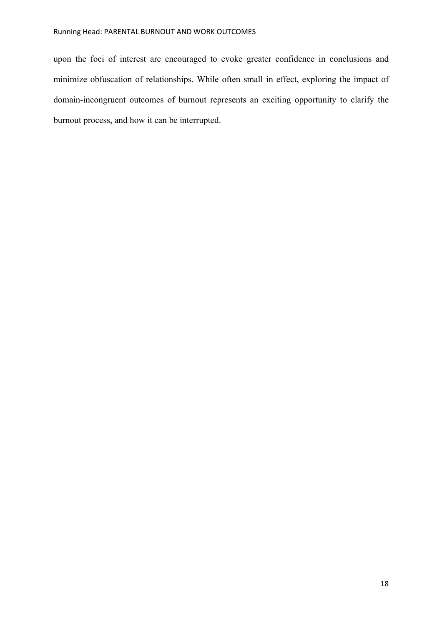# Running Head: PARENTAL BURNOUT AND WORK OUTCOMES

upon the foci of interest are encouraged to evoke greater confidence in conclusions and minimize obfuscation of relationships. While often small in effect, exploring the impact of domain-incongruent outcomes of burnout represents an exciting opportunity to clarify the burnout process, and how it can be interrupted.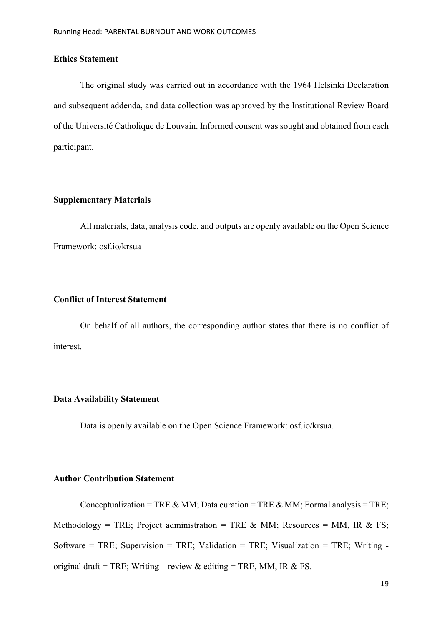# **Ethics Statement**

The original study was carried out in accordance with the 1964 Helsinki Declaration and subsequent addenda, and data collection was approved by the Institutional Review Board of the Université Catholique de Louvain. Informed consent was sought and obtained from each participant.

# **Supplementary Materials**

All materials, data, analysis code, and outputs are openly available on the Open Science Framework: osf.io/krsua

# **Conflict of Interest Statement**

On behalf of all authors, the corresponding author states that there is no conflict of interest.

# **Data Availability Statement**

Data is openly available on the Open Science Framework: osf.io/krsua.

# **Author Contribution Statement**

Conceptualization = TRE & MM; Data curation = TRE & MM; Formal analysis = TRE; Methodology = TRE; Project administration = TRE & MM; Resources = MM, IR & FS; Software = TRE; Supervision = TRE; Validation = TRE; Visualization = TRE; Writing original draft = TRE; Writing – review & editing = TRE, MM, IR & FS.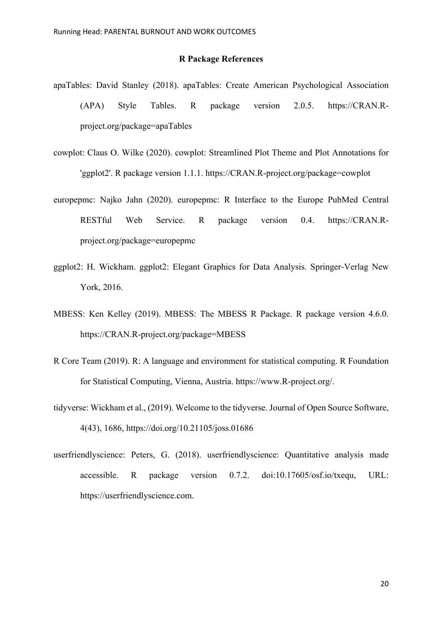## **R Package References**

- apaTables: David Stanley (2018). apaTables: Create American Psychological Association (APA) Style Tables. R package version 2.0.5. https://CRAN.Rproject.org/package=apaTables
- cowplot: Claus O. Wilke (2020). cowplot: Streamlined Plot Theme and Plot Annotations for 'ggplot2'. R package version 1.1.1. https://CRAN.R-project.org/package=cowplot
- europepmc: Najko Jahn (2020). europepmc: R Interface to the Europe PubMed Central RESTful Web Service. R package version 0.4. https://CRAN.Rproject.org/package=europepmc
- ggplot2: H. Wickham. ggplot2: Elegant Graphics for Data Analysis. Springer-Verlag New York, 2016.
- MBESS: Ken Kelley (2019). MBESS: The MBESS R Package. R package version 4.6.0. https://CRAN.R-project.org/package=MBESS
- R Core Team (2019). R: A language and environment for statistical computing. R Foundation for Statistical Computing, Vienna, Austria. https://www.R-project.org/.
- tidyverse: Wickham et al., (2019). Welcome to the tidyverse. Journal of Open Source Software, 4(43), 1686, https://doi.org/10.21105/joss.01686
- userfriendlyscience: Peters, G. (2018). userfriendlyscience: Quantitative analysis made accessible. R package version 0.7.2. doi:10.17605/osf.io/txequ, URL: https://userfriendlyscience.com.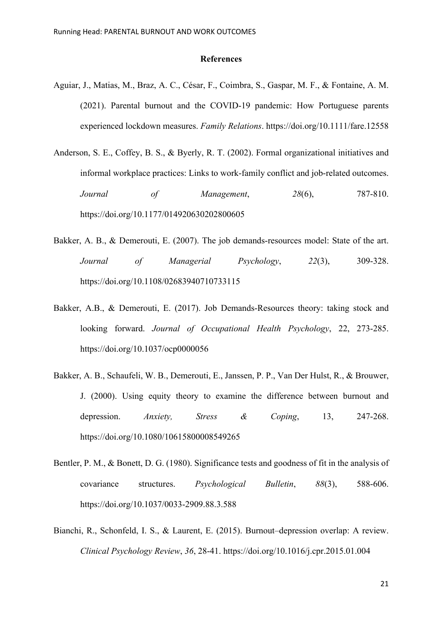#### **References**

- Aguiar, J., Matias, M., Braz, A. C., César, F., Coimbra, S., Gaspar, M. F., & Fontaine, A. M. (2021). Parental burnout and the COVID‐19 pandemic: How Portuguese parents experienced lockdown measures. *Family Relations*. https://doi.org/10.1111/fare.12558
- Anderson, S. E., Coffey, B. S., & Byerly, R. T. (2002). Formal organizational initiatives and informal workplace practices: Links to work-family conflict and job-related outcomes. *Journal of Management*, *28*(6), 787-810. https://doi.org/10.1177/014920630202800605
- Bakker, A. B., & Demerouti, E. (2007). The job demands-resources model: State of the art. *Journal of Managerial Psychology*, *22*(3), 309-328. https://doi.org/10.1108/02683940710733115
- Bakker, A.B., & Demerouti, E. (2017). Job Demands-Resources theory: taking stock and looking forward. *Journal of Occupational Health Psychology*, 22, 273-285. https://doi.org/10.1037/ocp0000056
- Bakker, A. B., Schaufeli, W. B., Demerouti, E., Janssen, P. P., Van Der Hulst, R., & Brouwer, J. (2000). Using equity theory to examine the difference between burnout and depression. *Anxiety, Stress & Coping*, 13, 247-268. https://doi.org/10.1080/10615800008549265
- Bentler, P. M., & Bonett, D. G. (1980). Significance tests and goodness of fit in the analysis of covariance structures. *Psychological Bulletin*, *88*(3), 588-606. https://doi.org/10.1037/0033-2909.88.3.588
- Bianchi, R., Schonfeld, I. S., & Laurent, E. (2015). Burnout–depression overlap: A review. *Clinical Psychology Review*, *36*, 28-41. https://doi.org/10.1016/j.cpr.2015.01.004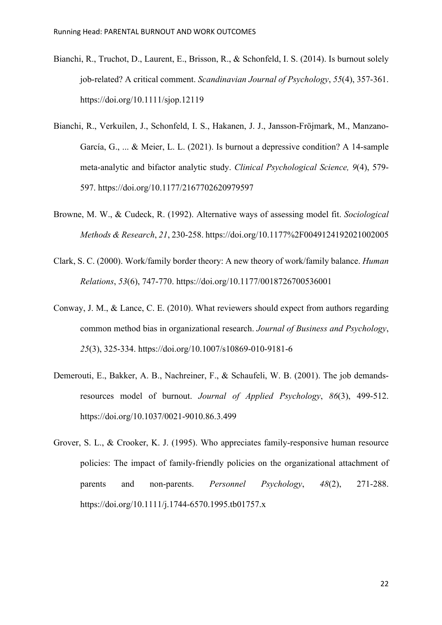- Bianchi, R., Truchot, D., Laurent, E., Brisson, R., & Schonfeld, I. S. (2014). Is burnout solely job‐related? A critical comment. *Scandinavian Journal of Psychology*, *55*(4), 357-361. https://doi.org/10.1111/sjop.12119
- Bianchi, R., Verkuilen, J., Schonfeld, I. S., Hakanen, J. J., Jansson-Fröjmark, M., Manzano-García, G., ... & Meier, L. L. (2021). Is burnout a depressive condition? A 14-sample meta-analytic and bifactor analytic study. *Clinical Psychological Science, 9*(4), 579- 597. https://doi.org/10.1177/2167702620979597
- Browne, M. W., & Cudeck, R. (1992). Alternative ways of assessing model fit. *Sociological Methods & Research*, *21*, 230-258. https://doi.org/10.1177%2F0049124192021002005
- Clark, S. C. (2000). Work/family border theory: A new theory of work/family balance. *Human Relations*, *53*(6), 747-770. https://doi.org/10.1177/0018726700536001
- Conway, J. M., & Lance, C. E. (2010). What reviewers should expect from authors regarding common method bias in organizational research. *Journal of Business and Psychology*, *25*(3), 325-334. https://doi.org/10.1007/s10869-010-9181-6
- Demerouti, E., Bakker, A. B., Nachreiner, F., & Schaufeli, W. B. (2001). The job demandsresources model of burnout. *Journal of Applied Psychology*, *86*(3), 499-512. https://doi.org/10.1037/0021-9010.86.3.499
- Grover, S. L., & Crooker, K. J. (1995). Who appreciates family‐responsive human resource policies: The impact of family‐friendly policies on the organizational attachment of parents and non‐parents. *Personnel Psychology*, *48*(2), 271-288. https://doi.org/10.1111/j.1744-6570.1995.tb01757.x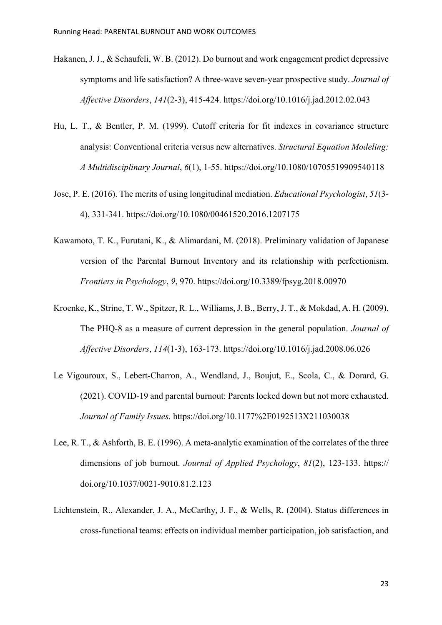- Hakanen, J. J., & Schaufeli, W. B. (2012). Do burnout and work engagement predict depressive symptoms and life satisfaction? A three-wave seven-year prospective study. *Journal of Affective Disorders*, *141*(2-3), 415-424. https://doi.org/10.1016/j.jad.2012.02.043
- Hu, L. T., & Bentler, P. M. (1999). Cutoff criteria for fit indexes in covariance structure analysis: Conventional criteria versus new alternatives. *Structural Equation Modeling: A Multidisciplinary Journal*, *6*(1), 1-55. https://doi.org/10.1080/10705519909540118
- Jose, P. E. (2016). The merits of using longitudinal mediation. *Educational Psychologist*, *51*(3- 4), 331-341. https://doi.org/10.1080/00461520.2016.1207175
- Kawamoto, T. K., Furutani, K., & Alimardani, M. (2018). Preliminary validation of Japanese version of the Parental Burnout Inventory and its relationship with perfectionism. *Frontiers in Psychology*, *9*, 970. https://doi.org/10.3389/fpsyg.2018.00970
- Kroenke, K., Strine, T. W., Spitzer, R. L., Williams, J. B., Berry, J. T., & Mokdad, A. H. (2009). The PHQ-8 as a measure of current depression in the general population. *Journal of Affective Disorders*, *114*(1-3), 163-173. https://doi.org/10.1016/j.jad.2008.06.026
- Le Vigouroux, S., Lebert-Charron, A., Wendland, J., Boujut, E., Scola, C., & Dorard, G. (2021). COVID-19 and parental burnout: Parents locked down but not more exhausted. *Journal of Family Issues*. https://doi.org/10.1177%2F0192513X211030038
- Lee, R. T., & Ashforth, B. E. (1996). A meta-analytic examination of the correlates of the three dimensions of job burnout. *Journal of Applied Psychology*, *81*(2), 123-133. https:// doi.org/10.1037/0021-9010.81.2.123
- Lichtenstein, R., Alexander, J. A., McCarthy, J. F., & Wells, R. (2004). Status differences in cross-functional teams: effects on individual member participation, job satisfaction, and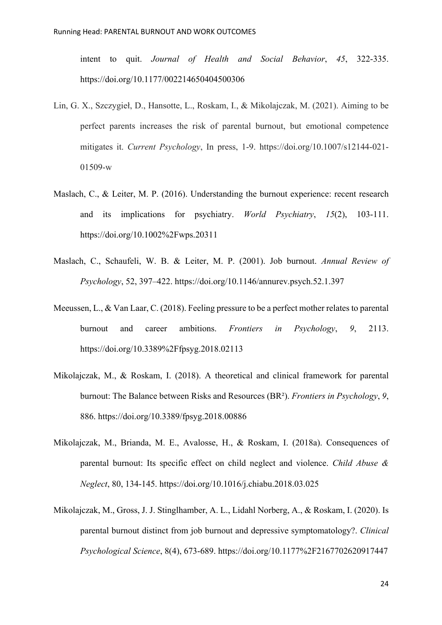intent to quit. *Journal of Health and Social Behavior*, *45*, 322-335. https://doi.org/10.1177/002214650404500306

- Lin, G. X., Szczygieł, D., Hansotte, L., Roskam, I., & Mikolajczak, M. (2021). Aiming to be perfect parents increases the risk of parental burnout, but emotional competence mitigates it. *Current Psychology*, In press, 1-9. https://doi.org/10.1007/s12144-021- 01509-w
- Maslach, C., & Leiter, M. P. (2016). Understanding the burnout experience: recent research and its implications for psychiatry. *World Psychiatry*, *15*(2), 103-111. https://doi.org/10.1002%2Fwps.20311
- Maslach, C., Schaufeli, W. B. & Leiter, M. P. (2001). Job burnout. *Annual Review of Psychology*, 52, 397–422. https://doi.org/10.1146/annurev.psych.52.1.397
- Meeussen, L., & Van Laar, C. (2018). Feeling pressure to be a perfect mother relates to parental burnout and career ambitions. *Frontiers in Psychology*, *9*, 2113. https://doi.org/10.3389%2Ffpsyg.2018.02113
- Mikolajczak, M., & Roskam, I. (2018). A theoretical and clinical framework for parental burnout: The Balance between Risks and Resources (BR²). *Frontiers in Psychology*, *9*, 886. https://doi.org/10.3389/fpsyg.2018.00886
- Mikolajczak, M., Brianda, M. E., Avalosse, H., & Roskam, I. (2018a). Consequences of parental burnout: Its specific effect on child neglect and violence. *Child Abuse & Neglect*, 80, 134-145. https://doi.org/10.1016/j.chiabu.2018.03.025
- Mikolajczak, M., Gross, J. J. Stinglhamber, A. L., Lidahl Norberg, A., & Roskam, I. (2020). Is parental burnout distinct from job burnout and depressive symptomatology?. *Clinical Psychological Science*, 8(4), 673-689. https://doi.org/10.1177%2F2167702620917447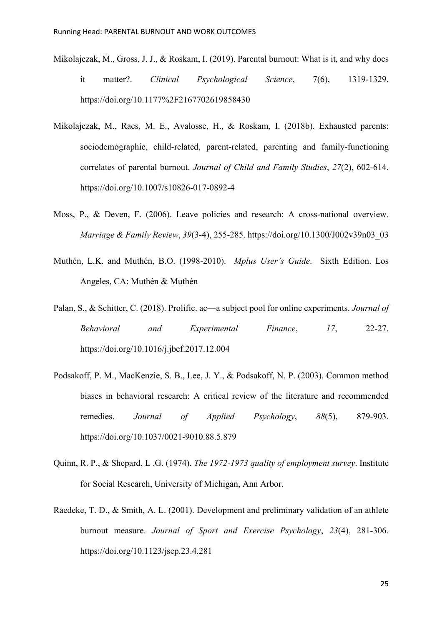- Mikolajczak, M., Gross, J. J., & Roskam, I. (2019). Parental burnout: What is it, and why does it matter?. *Clinical Psychological Science*, 7(6), 1319-1329. https://doi.org/10.1177%2F2167702619858430
- Mikolajczak, M., Raes, M. E., Avalosse, H., & Roskam, I. (2018b). Exhausted parents: sociodemographic, child-related, parent-related, parenting and family-functioning correlates of parental burnout. *Journal of Child and Family Studies*, *27*(2), 602-614. https://doi.org/10.1007/s10826-017-0892-4
- Moss, P., & Deven, F. (2006). Leave policies and research: A cross-national overview. *Marriage & Family Review*, *39*(3-4), 255-285. https://doi.org/10.1300/J002v39n03\_03
- Muthén, L.K. and Muthén, B.O. (1998-2010). *Mplus User's Guide*. Sixth Edition. Los Angeles, CA: Muthén & Muthén
- Palan, S., & Schitter, C. (2018). Prolific. ac—a subject pool for online experiments. *Journal of Behavioral and Experimental Finance*, *17*, 22-27. https://doi.org/10.1016/j.jbef.2017.12.004
- Podsakoff, P. M., MacKenzie, S. B., Lee, J. Y., & Podsakoff, N. P. (2003). Common method biases in behavioral research: A critical review of the literature and recommended remedies. *Journal of Applied Psychology*, *88*(5), 879-903. https://doi.org/10.1037/0021-9010.88.5.879
- Quinn, R. P., & Shepard, L .G. (1974). *The 1972-1973 quality of employment survey*. Institute for Social Research, University of Michigan, Ann Arbor.
- Raedeke, T. D., & Smith, A. L. (2001). Development and preliminary validation of an athlete burnout measure. *Journal of Sport and Exercise Psychology*, *23*(4), 281-306. https://doi.org/10.1123/jsep.23.4.281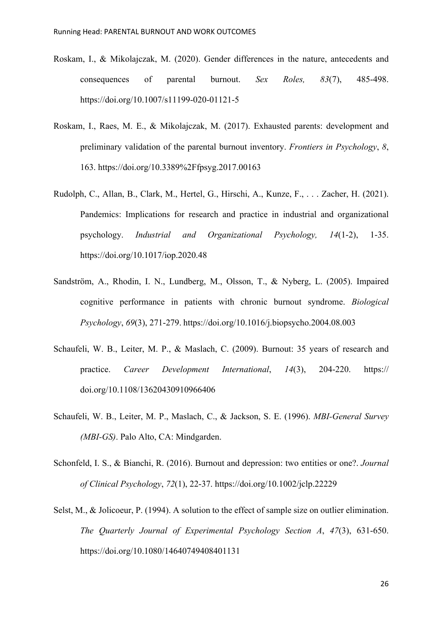- Roskam, I., & Mikolajczak, M. (2020). Gender differences in the nature, antecedents and consequences of parental burnout. *Sex Roles, 83*(7), 485-498. https://doi.org/10.1007/s11199-020-01121-5
- Roskam, I., Raes, M. E., & Mikolajczak, M. (2017). Exhausted parents: development and preliminary validation of the parental burnout inventory. *Frontiers in Psychology*, *8*, 163. https://doi.org/10.3389%2Ffpsyg.2017.00163
- Rudolph, C., Allan, B., Clark, M., Hertel, G., Hirschi, A., Kunze, F., . . . Zacher, H. (2021). Pandemics: Implications for research and practice in industrial and organizational psychology. *Industrial and Organizational Psychology, 14*(1-2), 1-35. https://doi.org/10.1017/iop.2020.48
- Sandström, A., Rhodin, I. N., Lundberg, M., Olsson, T., & Nyberg, L. (2005). Impaired cognitive performance in patients with chronic burnout syndrome. *Biological Psychology*, *69*(3), 271-279. https://doi.org/10.1016/j.biopsycho.2004.08.003
- Schaufeli, W. B., Leiter, M. P., & Maslach, C. (2009). Burnout: 35 years of research and practice. *Career Development International*, *14*(3), 204-220. https:// doi.org/10.1108/13620430910966406
- Schaufeli, W. B., Leiter, M. P., Maslach, C., & Jackson, S. E. (1996). *MBI-General Survey (MBI-GS)*. Palo Alto, CA: Mindgarden.
- Schonfeld, I. S., & Bianchi, R. (2016). Burnout and depression: two entities or one?. *Journal of Clinical Psychology*, *72*(1), 22-37. https://doi.org/10.1002/jclp.22229
- Selst, M., & Jolicoeur, P. (1994). A solution to the effect of sample size on outlier elimination. *The Quarterly Journal of Experimental Psychology Section A*, *47*(3), 631-650. https://doi.org/10.1080/14640749408401131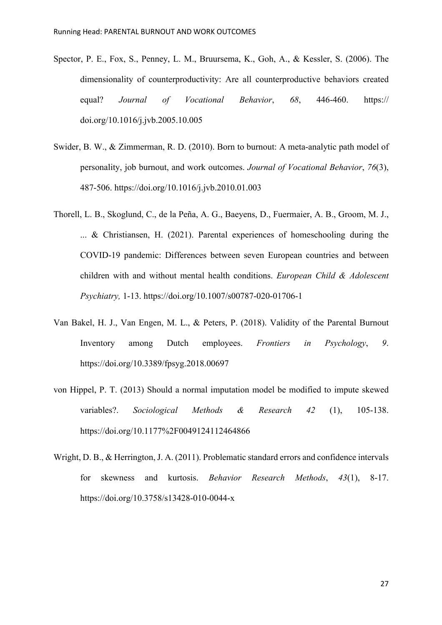- Spector, P. E., Fox, S., Penney, L. M., Bruursema, K., Goh, A., & Kessler, S. (2006). The dimensionality of counterproductivity: Are all counterproductive behaviors created equal? *Journal of Vocational Behavior*, *68*, 446-460. https:// doi.org/10.1016/j.jvb.2005.10.005
- Swider, B. W., & Zimmerman, R. D. (2010). Born to burnout: A meta-analytic path model of personality, job burnout, and work outcomes. *Journal of Vocational Behavior*, *76*(3), 487-506. https://doi.org/10.1016/j.jvb.2010.01.003
- Thorell, L. B., Skoglund, C., de la Peña, A. G., Baeyens, D., Fuermaier, A. B., Groom, M. J., ... & Christiansen, H. (2021). Parental experiences of homeschooling during the COVID-19 pandemic: Differences between seven European countries and between children with and without mental health conditions. *European Child & Adolescent Psychiatry,* 1-13. https://doi.org/10.1007/s00787-020-01706-1
- Van Bakel, H. J., Van Engen, M. L., & Peters, P. (2018). Validity of the Parental Burnout Inventory among Dutch employees. *Frontiers in Psychology*, *9*. https://doi.org/10.3389/fpsyg.2018.00697
- von Hippel, P. T. (2013) Should a normal imputation model be modified to impute skewed variables?. *Sociological Methods & Research 42* (1), 105-138. https://doi.org/10.1177%2F0049124112464866
- Wright, D. B., & Herrington, J. A. (2011). Problematic standard errors and confidence intervals for skewness and kurtosis. *Behavior Research Methods*, *43*(1), 8-17. https://doi.org/10.3758/s13428-010-0044-x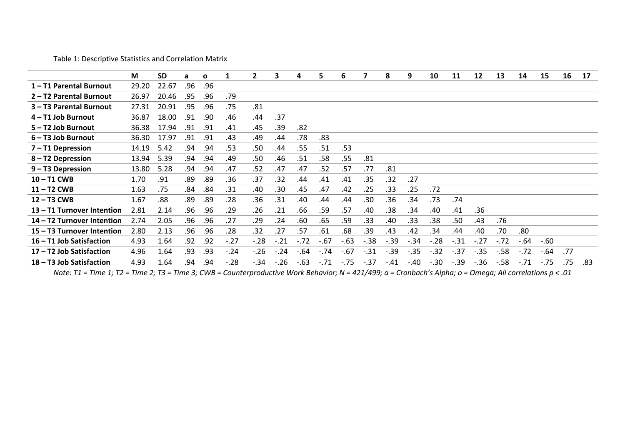Table 1: Descriptive Statistics and Correlation Matrix

|                            | M     | <b>SD</b> | a   | $\mathbf{o}$ | 1      | $\mathbf{2}$ | 3      | 4      | 5      | 6      |        | 8       | 9      | 10     | 11     | 12     | 13     | 14     | 15     | 16  | 17  |
|----------------------------|-------|-----------|-----|--------------|--------|--------------|--------|--------|--------|--------|--------|---------|--------|--------|--------|--------|--------|--------|--------|-----|-----|
| 1-T1 Parental Burnout      | 29.20 | 22.67     | .96 | .96          |        |              |        |        |        |        |        |         |        |        |        |        |        |        |        |     |     |
| 2 - T2 Parental Burnout    | 26.97 | 20.46     | .95 | .96          | .79    |              |        |        |        |        |        |         |        |        |        |        |        |        |        |     |     |
| 3 - T3 Parental Burnout    | 27.31 | 20.91     | .95 | .96          | .75    | .81          |        |        |        |        |        |         |        |        |        |        |        |        |        |     |     |
| 4 - T1 Job Burnout         | 36.87 | 18.00     | .91 | .90          | .46    | .44          | .37    |        |        |        |        |         |        |        |        |        |        |        |        |     |     |
| 5-T2 Job Burnout           | 36.38 | 17.94     | .91 | .91          | .41    | .45          | .39    | .82    |        |        |        |         |        |        |        |        |        |        |        |     |     |
| $6 - T3$ Job Burnout       | 36.30 | 17.97     | .91 | .91          | .43    | .49          | .44    | .78    | .83    |        |        |         |        |        |        |        |        |        |        |     |     |
| 7 – T1 Depression          | 14.19 | 5.42      | .94 | .94          | .53    | .50          | .44    | .55    | .51    | .53    |        |         |        |        |        |        |        |        |        |     |     |
| 8-T2 Depression            | 13.94 | 5.39      | .94 | .94          | .49    | .50          | .46    | .51    | .58    | .55    | .81    |         |        |        |        |        |        |        |        |     |     |
| 9-T3 Depression            | 13.80 | 5.28      | .94 | .94          | .47    | .52          | .47    | .47    | .52    | .57    | .77    | .81     |        |        |        |        |        |        |        |     |     |
| 10-T1 CWB                  | 1.70  | .91       | .89 | .89          | .36    | .37          | .32    | .44    | .41    | .41    | .35    | .32     | .27    |        |        |        |        |        |        |     |     |
| 11-T2 CWB                  | 1.63  | .75       | .84 | .84          | .31    | .40          | .30    | .45    | .47    | .42    | .25    | .33     | .25    | .72    |        |        |        |        |        |     |     |
| 12-T3 CWB                  | 1.67  | .88       | .89 | .89          | .28    | .36          | .31    | .40    | .44    | .44    | .30    | .36     | .34    | .73    | .74    |        |        |        |        |     |     |
| 13 - T1 Turnover Intention | 2.81  | 2.14      | .96 | .96          | .29    | .26          | .21    | .66    | .59    | .57    | .40    | .38     | .34    | .40    | .41    | .36    |        |        |        |     |     |
| 14 – T2 Turnover Intention | 2.74  | 2.05      | .96 | .96          | .27    | .29          | .24    | .60    | .65    | .59    | .33    | .40     | .33    | .38    | .50    | .43    | .76    |        |        |     |     |
| 15 – T3 Turnover Intention | 2.80  | 2.13      | .96 | .96          | .28    | .32          | .27    | .57    | .61    | .68    | .39    | .43     | .42    | .34    | .44    | .40    | .70    | .80    |        |     |     |
| 16 - T1 Job Satisfaction   | 4.93  | 1.64      | .92 | .92          | $-.27$ | $-.28$       | $-21$  | $-.72$ | $-.67$ | $-.63$ | $-.38$ | $-.39$  | $-.34$ | $-28$  | $-.31$ | $-.27$ | $-.72$ | $-.64$ | $-.60$ |     |     |
| 17 - T2 Job Satisfaction   | 4.96  | 1.64      | .93 | .93          | $-.24$ | $-.26$       | $-.24$ | $-64$  | $-.74$ | $-.67$ | $-.31$ | $-0.39$ | $-.35$ | $-.32$ | $-.37$ | $-.35$ | $-58$  | $-.72$ | $-64$  | .77 |     |
| 18 - T3 Job Satisfaction   | 4.93  | 1.64      | .94 | .94          | $-.28$ | $-.34$       | $-.26$ | $-63$  | $-.71$ | $-.75$ | $-.37$ | $-.41$  | $-.40$ | $-.30$ | $-.39$ | $-.36$ | $-58$  | $-.71$ | $-.75$ | .75 | .83 |
|                            |       |           |     |              |        |              |        |        |        |        |        |         |        |        |        |        |        |        |        |     |     |

*Note: T1 = Time 1; T2 = Time 2; T3 = Time 3; CWB = Counterproductive Work Behavior; N = 421/499; a = Cronbach's Alpha; o = Omega; All correlations p < .01*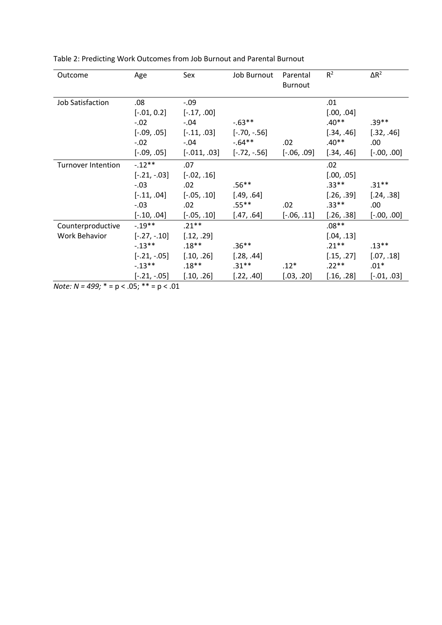| Outcome                   | Age            | Sex            | Job Burnout    | Parental<br><b>Burnout</b> | $R^2$      | $\Delta R^2$  |
|---------------------------|----------------|----------------|----------------|----------------------------|------------|---------------|
| Job Satisfaction          | .08            | $-.09$         |                |                            | .01        |               |
|                           | $[-.01, 0.2]$  | $[-.17, .00]$  |                |                            | [.00, .04] |               |
|                           | $-.02$         | $-.04$         | $-0.63**$      |                            | $.40**$    | $.39**$       |
|                           | $[-.09, .05]$  | $[-.11, .03]$  | $[-.70, -.56]$ |                            | [.34, .46] | [.32, .46]    |
|                           | $-.02$         | $-.04$         | $-.64**$       | .02                        | $.40**$    | .00.          |
|                           | $[-.09, .05]$  | $[-.011, .03]$ | [-.72, -.56]   | $[-.06, .09]$              | [.34, .46] | $[-.00, .00]$ |
| <b>Turnover Intention</b> | $-.12**$       | .07            |                |                            | .02        |               |
|                           | $[-.21, -.03]$ | $[-.02, .16]$  |                |                            | [.00, .05] |               |
|                           | $-.03$         | .02            | $.56**$        |                            | $.33**$    | $.31***$      |
|                           | $[-.11, .04]$  | $[-.05, .10]$  | [.49, .64]     |                            | [.26, .39] | [.24, .38]    |
|                           | $-.03$         | .02            | $.55***$       | .02                        | $.33**$    | .00.          |
|                           | $[-.10, .04]$  | $[-.05, .10]$  | [.47, .64]     | $[-.06, .11]$              | [.26, .38] | $[-.00, .00]$ |
| Counterproductive         | $-.19***$      | $.21**$        |                |                            | $.08**$    |               |
| <b>Work Behavior</b>      | $[-.27, -.10]$ | [.12, .29]     |                |                            | [.04, .13] |               |
|                           | $-.13***$      | $.18**$        | $.36**$        |                            | $.21**$    | $.13***$      |
|                           | $[-.21, -.05]$ | [.10, .26]     | [.28, .44]     |                            | [.15, .27] | [.07, .18]    |
|                           | $-13**$        | $.18**$        | $.31**$        | $.12*$                     | $.22**$    | $.01*$        |
|                           | $[-.21, -.05]$ | [.10, .26]     | [.22, .40]     | [.03, .20]                 | [.16, .28] | $[-.01, .03]$ |

Table 2: Predicting Work Outcomes from Job Burnout and Parental Burnout

*Note: N = 499;* \* = p < .05; \*\* = p < .01